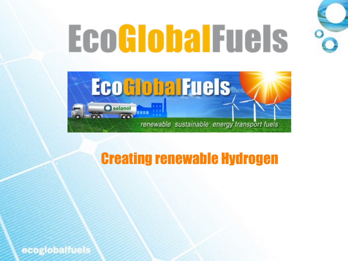# **EcoGlobalFuels**



### Creating renewable Hydrogen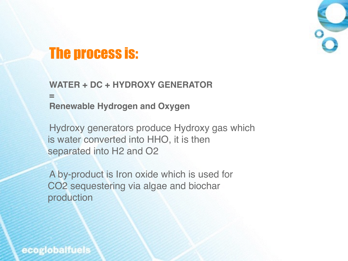

### The process is:

**WATER + DC + HYDROXY GENERATOR = Renewable Hydrogen and Oxygen**

Hydroxy generators produce Hydroxy gas which is water converted into HHO, it is then separated into H2 and O2

A by-product is Iron oxide which is used for CO2 sequestering via algae and biochar production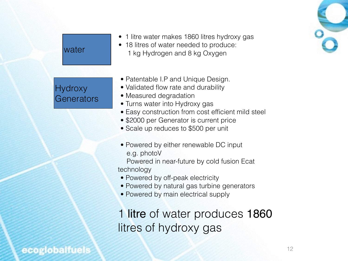

#### **water**

#### **Hydroxy** Generators

- 1 litre water makes 1860 litres hydroxy gas
- 18 litres of water needed to produce: 1 kg Hydrogen and 8 kg Oxygen
- Patentable I.P and Unique Design.
- Validated flow rate and durability
- Measured degradation
- Turns water into Hydroxy gas
- Easy construction from cost efficient mild steel
- \$2000 per Generator is current price
- Scale up reduces to \$500 per unit
- Powered by either renewable DC input e.g. photoV Powered in near-future by cold fusion Ecat technology
- Powered by off-peak electricity
- Powered by natural gas turbine generators
- Powered by main electrical supply

1 litre of water produces 1860 litres of hydroxy gas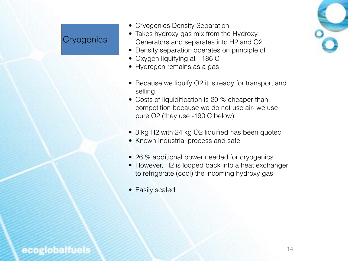#### **Cryogenics**

- Cryogenics Density Separation
- Takes hydroxy gas mix from the Hydroxy Generators and separates into H2 and O2
- Density separation operates on principle of
- Oxygen liquifying at 186 C
- Hydrogen remains as a gas
- Because we liquify O2 it is ready for transport and selling
- Costs of liquidification is 20 % cheaper than competition because we do not use air- we use pure O2 (they use -190 C below)
- 3 kg H2 with 24 kg O2 liquified has been quoted
- Known Industrial process and safe
- 26 % additional power needed for cryogenics
- However, H2 is looped back into a heat exchanger to refrigerate (cool) the incoming hydroxy gas
- Easily scaled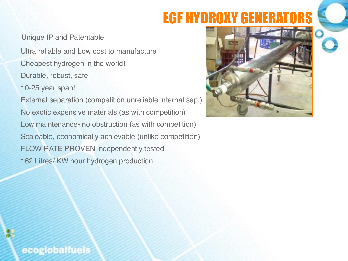### EGF HYDROXY GENERATORS

Unique IP and Patentable

 Ultra reliable and Low cost to manufacture Cheapest hydrogen in the world! Durable, robust, safe 10-25 year span! External separation (competition unreliable internal sep.) No exotic expensive materials (as with competition) Low maintenance- no obstruction (as with competition) Scaleable, economically achievable (unlike competition) FLOW RATE PROVEN independently tested 162 Litres/ KW hour hydrogen production

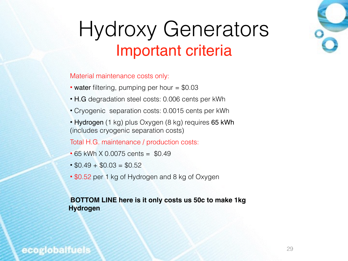### Hydroxy Generators Important criteria

Material maintenance costs only:

- water filtering, pumping per hour = \$0.03
- H.G degradation steel costs: 0.006 cents per kWh
- Cryogenic separation costs: 0.0015 cents per kWh
- Hydrogen (1 kg) plus Oxygen (8 kg) requires 65 kWh (includes cryogenic separation costs)

Total H.G. maintenance / production costs:

- 65 kWh X 0.0075 cents = \$0.49
- $\cdot$  \$0.49 + \$0.03 = \$0.52
- \$0.52 per 1 kg of Hydrogen and 8 kg of Oxygen

#### **BOTTOM LINE here is it only costs us 50c to make 1kg Hydrogen**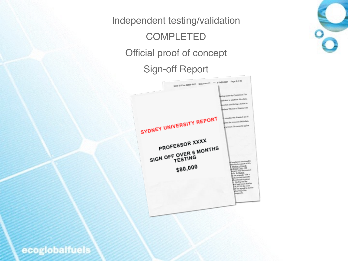### Independent testing/validation **COMPLETED** Official proof of concept Sign-off Report



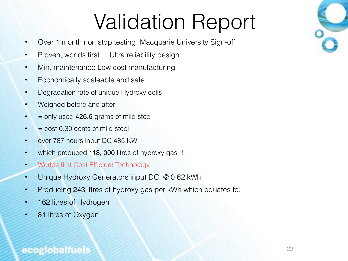# Validation Report

- Over 1 month non stop testing Macquarie University Sign-off
- Proven, worlds first .... Ultra reliability design
- Min. maintenance Low cost manufacturing
- Economically scaleable and safe
- Degradation rate of unique Hydroxy cells:
- Weighed before and after
- $\bullet$  = only used 426.6 grams of mild steel
- $\bullet$  = cost 0.30 cents of mild steel
- over 787 hours input DC 485 KW
- which produced 118, 000 litres of hydroxy gas !
- Worlds first Cost Efficient Technology
- Unique Hydroxy Generators input DC @ 0.62 kWh
- Producing 243 litres of hydroxy gas per kWh which equates to:
- **162** litres of Hydrogen
- 81 litres of Oxygen

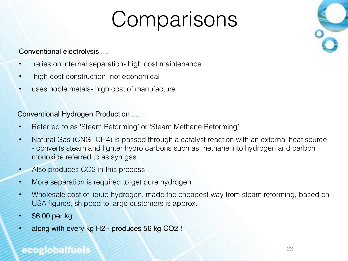# **Comparisons**



#### Conventional electrolysis ....

- relies on internal separation- high cost maintenance
- high cost construction- not economical
- uses noble metals- high cost of manufacture

#### Conventional Hydrogen Production ....

- Referred to as 'Steam Reforming' or 'Steam Methane Reforming'
- Natural Gas (CNG- CH4) is passed through a catalyst reaction with an external heat source - converts steam and lighter hydro carbons such as methane into hydrogen and carbon monoxide referred to as syn gas
- Also produces CO2 in this process
- More separation is required to get pure hydrogen
- Wholesale cost of liquid hydrogen, made the cheapest way from steam reforming, based on USA figures, shipped to large customers is approx.
- \$6.00 per kg
- along with every kg H2 produces 56 kg CO2 !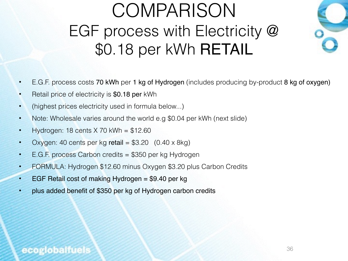### COMPARISON EGF process with Electricity @ \$0.18 per kWh RETAIL



- E.G.F. process costs 70 kWh per 1 kg of Hydrogen (includes producing by-product 8 kg of oxygen)
- Retail price of electricity is \$0.18 per kWh
- (highest prices electricity used in formula below...)
- Note: Wholesale varies around the world e.g \$0.04 per kWh (next slide)
- Hydrogen: 18 cents X 70 kWh = \$12.60
- Oxygen: 40 cents per kg retail =  $$3.20$  (0.40 x 8kg)
- E.G.F. process Carbon credits = \$350 per kg Hydrogen
- FORMULA: Hydrogen \$12.60 minus Oxygen \$3.20 plus Carbon Credits
- EGF Retail cost of making Hydrogen = \$9.40 per kg
- plus added benefit of \$350 per kg of Hydrogen carbon credits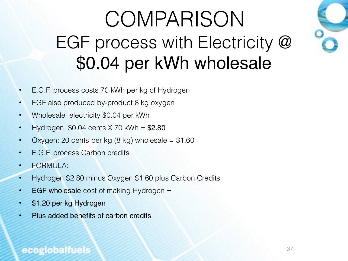## **COMPARISON** EGF process with Electricity @ \$0.04 per kWh wholesale



- E.G.F. process costs 70 kWh per kg of Hydrogen
- EGF also produced by-product 8 kg oxygen
- Wholesale electricity \$0.04 per kWh
- $Hydrogen: $0.04 cents \times 70 kWh = $2.80$
- Oxygen: 20 cents per kg  $(8 \text{ kg})$  wholesale = \$1.60
- E.G.F. process Carbon credits
- FORMULA:
- Hydrogen \$2.80 minus Oxygen \$1.60 plus Carbon Credits
- EGF wholesale cost of making Hydrogen =
- \$1.20 per kg Hydrogen
- Plus added benefits of carbon credits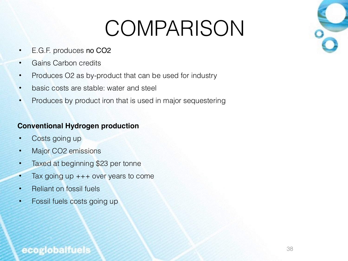# COMPARISON

- E.G.F. produces no CO2
- Gains Carbon credits
- Produces O2 as by-product that can be used for industry
- basic costs are stable: water and steel
- Produces by product iron that is used in major sequestering

#### **Conventional Hydrogen production**

- Costs going up
- Major CO2 emissions
- Taxed at beginning \$23 per tonne
- Tax going up +++ over years to come
- Reliant on fossil fuels
- Fossil fuels costs going up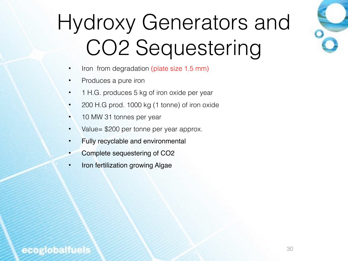# Hydroxy Generators and CO2 Sequestering

- Iron from degradation (plate size 1.5 mm)
- Produces a pure iron
- 1 H.G. produces 5 kg of iron oxide per year
- 200 H.G prod. 1000 kg (1 tonne) of iron oxide
- 10 MW 31 tonnes per year
- Value= \$200 per tonne per year approx.
- Fully recyclable and environmental
- Complete sequestering of CO2
- Iron fertilization growing Algae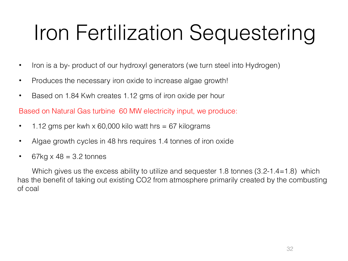# Iron Fertilization Sequestering

- Iron is a by- product of our hydroxyl generators (we turn steel into Hydrogen)
- Produces the necessary iron oxide to increase algae growth!
- Based on 1.84 Kwh creates 1.12 gms of iron oxide per hour

Based on Natural Gas turbine 60 MW electricity input, we produce:

- 1.12 gms per kwh x 60,000 kilo watt hrs = 67 kilograms
- Algae growth cycles in 48 hrs requires 1.4 tonnes of iron oxide
- 67kg  $\times$  48 = 3.2 tonnes

Which gives us the excess ability to utilize and sequester 1.8 tonnes (3.2-1.4=1.8) which has the benefit of taking out existing CO2 from atmosphere primarily created by the combusting of coal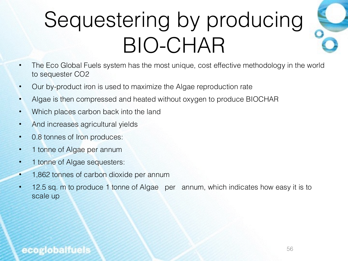# Sequestering by producing BIO-CHAR

- The Eco Global Fuels system has the most unique, cost effective methodology in the world to sequester CO2
- Our by-product iron is used to maximize the Algae reproduction rate
- Algae is then compressed and heated without oxygen to produce BIOCHAR
- Which places carbon back into the land
- And increases agricultural yields
- 0.8 tonnes of Iron produces:
- 1 tonne of Algae per annum
- 1 tonne of Algae sequesters:
- 1,862 tonnes of carbon dioxide per annum
- 12.5 sq. m to produce 1 tonne of Algae per annum, which indicates how easy it is to scale up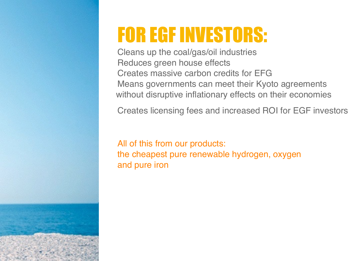## FOR EGF INVESTORS:

Cleans up the coal/gas/oil industries Reduces green house effects Creates massive carbon credits for EFG Means governments can meet their Kyoto agreements without disruptive inflationary effects on their economies

Creates licensing fees and increased ROI for EGF investors

All of this from our products: the cheapest pure renewable hydrogen, oxygen and pure iron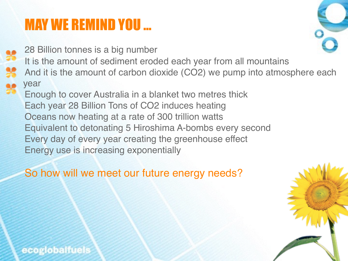### MAY WE REMIND YOU …

28 Billion tonnes is a big number It is the amount of sediment eroded each year from all mountains And it is the amount of carbon dioxide (CO2) we pump into atmosphere each year Enough to cover Australia in a blanket two metres thick Each year 28 Billion Tons of CO2 induces heating Oceans now heating at a rate of 300 trillion watts Equivalent to detonating 5 Hiroshima A-bombs every second Every day of every year creating the greenhouse effect Energy use is increasing exponentially

So how will we meet our future energy needs?